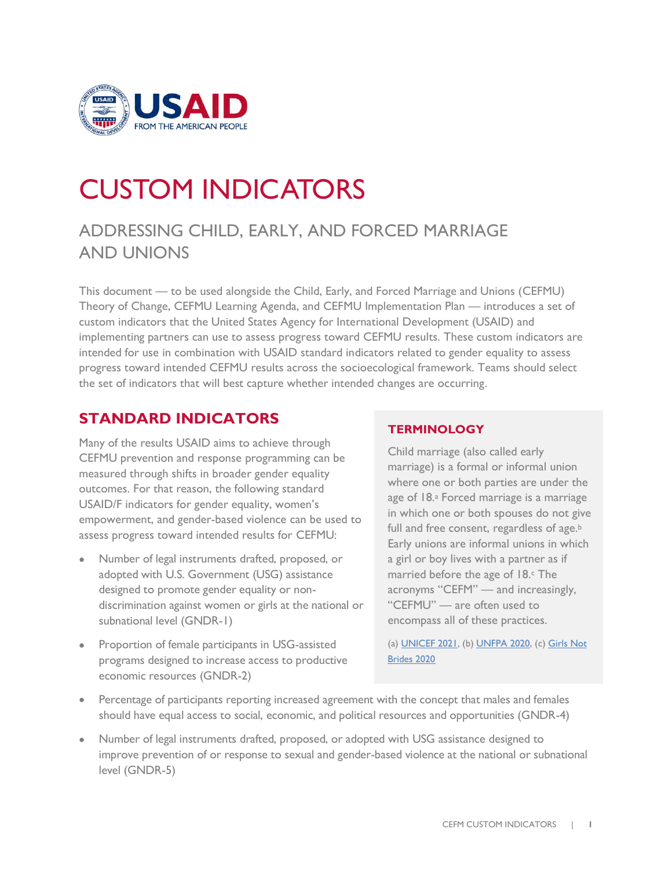

# CUSTOM INDICATORS

## ADDRESSING CHILD, EARLY, AND FORCED MARRIAGE AND UNIONS

This document — to be used alongside the Child, Early, and Forced Marriage and Unions (CEFMU) Theory of Change, CEFMU Learning Agenda, and CEFMU Implementation Plan — introduces a set of custom indicators that the United States Agency for International Development (USAID) and implementing partners can use to assess progress toward CEFMU results. These custom indicators are intended for use in combination with USAID standard indicators related to gender equality to assess progress toward intended CEFMU results across the socioecological framework. Teams should select the set of indicators that will best capture whether intended changes are occurring.

## **STANDARD INDICATORS**

Many of the results USAID aims to achieve through CEFMU prevention and response programming can be measured through shifts in broader gender equality outcomes. For that reason, the following standard USAID/F indicators for gender equality, women's empowerment, and gender-based violence can be used to assess progress toward intended results for CEFMU:

- Number of legal instruments drafted, proposed, or adopted with U.S. Government (USG) assistance designed to promote gender equality or nondiscrimination against women or girls at the national or subnational level (GNDR-1)
- Proportion of female participants in USG-assisted programs designed to increase access to productive economic resources (GNDR-2)

### **TERMINOLOGY**

Child marriage (also called early marriage) is a formal or informal union where one or both parties are under the age of 18.<sup>a</sup> Forced marriage is a marriage in which one or both spouses do not give full and free consent, regardless of age.<sup>b</sup> Early unions are informal unions in which a girl or boy lives with a partner as if married before the age of 18. The acronyms "CEFM" — and increasingly, "CEFMU" — are often used to encompass all of these practices.

(a[\) UNICEF 2021,](https://www.unicef.org/protection/child-marriage) (b) [UNFPA 2020,](https://www.unfpa.org/child-marriage-frequently-asked-questions#what%20is%20the%20difference%20between%20child%20marriage,%20early%20marriage%20and%20forced%20marriage) (c) [Girls Not](https://www.girlsnotbrides.es/documents/947/Child-early-and-forced-marriages-and-unions-in-LAC.pdf)  [Brides 2020](https://www.girlsnotbrides.es/documents/947/Child-early-and-forced-marriages-and-unions-in-LAC.pdf)

- Percentage of participants reporting increased agreement with the concept that males and females should have equal access to social, economic, and political resources and opportunities (GNDR-4)
- Number of legal instruments drafted, proposed, or adopted with USG assistance designed to improve prevention of or response to sexual and gender-based violence at the national or subnational level (GNDR-5)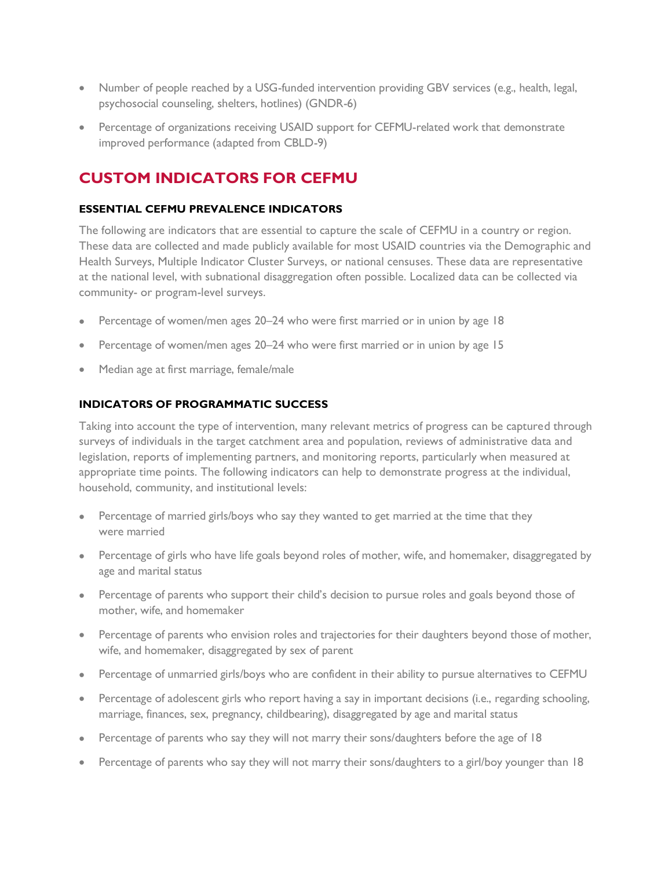- Number of people reached by a USG-funded intervention providing GBV services (e.g., health, legal, psychosocial counseling, shelters, hotlines) (GNDR-6)
- Percentage of organizations receiving USAID support for CEFMU-related work that demonstrate improved performance (adapted from CBLD-9)

## **CUSTOM INDICATORS FOR CEFMU**

#### **ESSENTIAL CEFMU PREVALENCE INDICATORS**

The following are indicators that are essential to capture the scale of CEFMU in a country or region. These data are collected and made publicly available for most USAID countries via the Demographic and Health Surveys, Multiple Indicator Cluster Surveys, or national censuses. These data are representative at the national level, with subnational disaggregation often possible. Localized data can be collected via community- or program-level surveys.

- Percentage of women/men ages 20–24 who were first married or in union by age 18
- Percentage of women/men ages 20–24 who were first married or in union by age 15
- Median age at first marriage, female/male

#### **INDICATORS OF PROGRAMMATIC SUCCESS**

Taking into account the type of intervention, many relevant metrics of progress can be captured through surveys of individuals in the target catchment area and population, reviews of administrative data and legislation, reports of implementing partners, and monitoring reports, particularly when measured at appropriate time points. The following indicators can help to demonstrate progress at the individual, household, community, and institutional levels:

- Percentage of married girls/boys who say they wanted to get married at the time that they were married
- Percentage of girls who have life goals beyond roles of mother, wife, and homemaker, disaggregated by age and marital status
- Percentage of parents who support their child's decision to pursue roles and goals beyond those of mother, wife, and homemaker
- Percentage of parents who envision roles and trajectories for their daughters beyond those of mother, wife, and homemaker, disaggregated by sex of parent
- Percentage of unmarried girls/boys who are confident in their ability to pursue alternatives to CEFMU
- Percentage of adolescent girls who report having a say in important decisions (i.e., regarding schooling, marriage, finances, sex, pregnancy, childbearing), disaggregated by age and marital status
- Percentage of parents who say they will not marry their sons/daughters before the age of 18
- Percentage of parents who say they will not marry their sons/daughters to a girl/boy younger than 18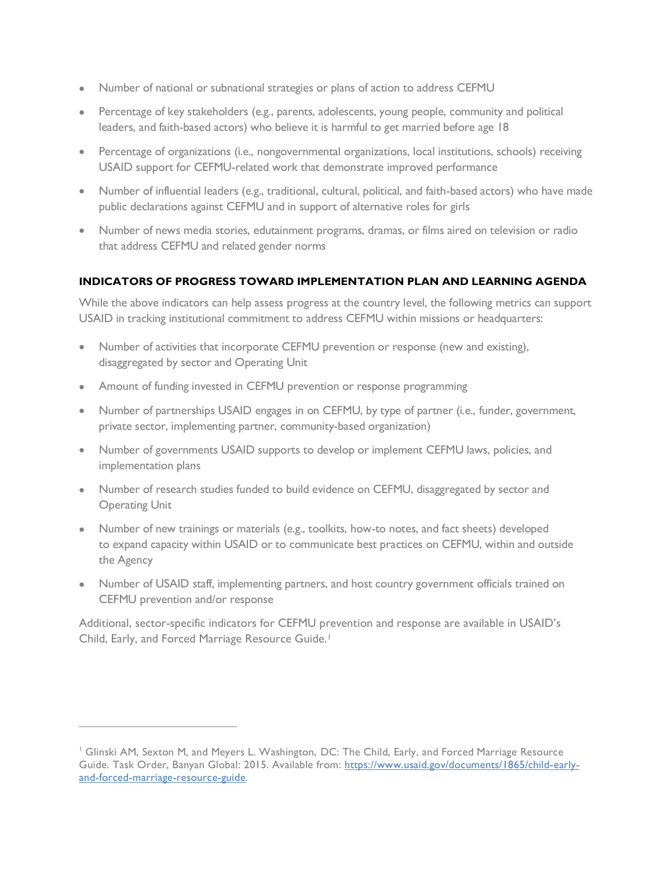- Number of national or subnational strategies or plans of action to address CEFMU
- Percentage of key stakeholders (e.g., parents, adolescents, young people, community and political leaders, and faith-based actors) who believe it is harmful to get married before age 18
- Percentage of organizations (i.e., nongovernmental organizations, local institutions, schools) receiving USAID support for CEFMU-related work that demonstrate improved performance
- Number of influential leaders (e.g., traditional, cultural, political, and faith-based actors) who have made public declarations against CEFMU and in support of alternative roles for girls
- Number of news media stories, edutainment programs, dramas, or films aired on television or radio that address CEFMU and related gender norms

#### **INDICATORS OF PROGRESS TOWARD IMPLEMENTATION PLAN AND LEARNING AGENDA**

While the above indicators can help assess progress at the country level, the following metrics can support USAID in tracking institutional commitment to address CEFMU within missions or headquarters:

- Number of activities that incorporate CEFMU prevention or response (new and existing), disaggregated by sector and Operating Unit
- Amount of funding invested in CEFMU prevention or response programming
- Number of partnerships USAID engages in on CEFMU, by type of partner (i.e., funder, government, private sector, implementing partner, community-based organization)
- Number of governments USAID supports to develop or implement CEFMU laws, policies, and implementation plans
- Number of research studies funded to build evidence on CEFMU, disaggregated by sector and Operating Unit
- Number of new trainings or materials (e.g., toolkits, how-to notes, and fact sheets) developed to expand capacity within USAID or to communicate best practices on CEFMU, within and outside the Agency
- Number of USAID staff, implementing partners, and host country government officials trained on CEFMU prevention and/or response

Additional, sector-specific indicators for CEFMU prevention and response are available in USAID's Child, Early, and Forced Marriage Resource Guide.<sup>1</sup>

<sup>1</sup> Glinski AM, Sexton M, and Meyers L. Washington, DC: The Child, Early, and Forced Marriage Resource Guide. Task Order, Banyan Global: 2015. Available from: [https://www.usaid.gov/documents/1865/child-early](https://www.usaid.gov/documents/1865/child-early-and-forced-marriage-resource-guide)[and-forced-marriage-resource-guide.](https://www.usaid.gov/documents/1865/child-early-and-forced-marriage-resource-guide)